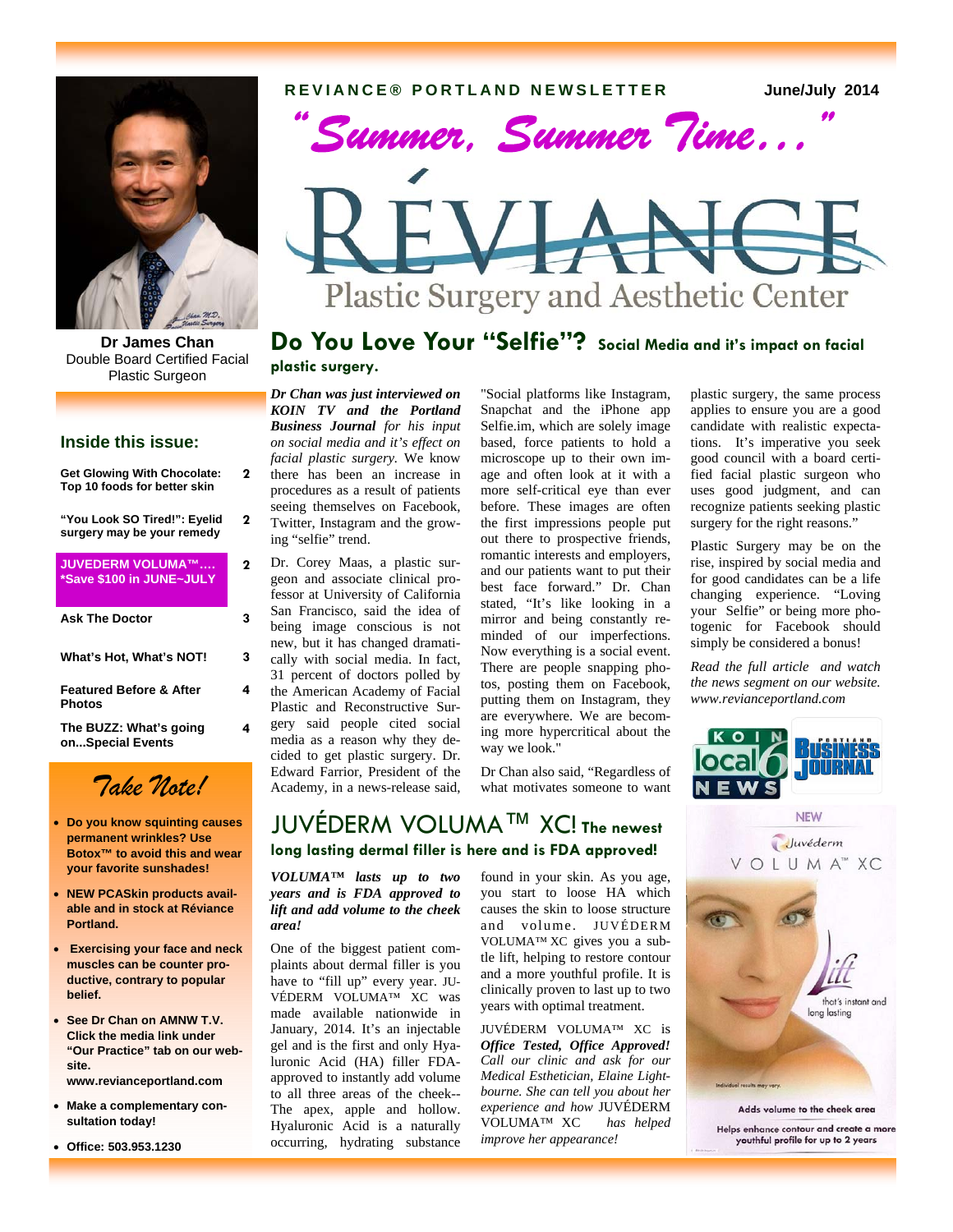**REVIANCE® PORTLAND NEWSLETTER June/July 2014** 



**Dr James Chan**  Double Board Certified Facial Plastic Surgeon

### **Inside this issue:**

| <b>Get Glowing With Chocolate:</b><br>Top 10 foods for better skin | 7 |
|--------------------------------------------------------------------|---|
| "You Look SO Tired!": Eyelid<br>surgery may be your remedy         | 2 |
| JUVEDERM VOLUMA™<br>*Save \$100 in JUNE~JULY                       | 7 |
| <b>Ask The Doctor</b>                                              | 3 |
| What's Hot, What's NOT!                                            | 3 |
| <b>Featured Before &amp; After</b><br>Photos                       | 4 |
| The BUZZ: What's going<br>onSpecial Events                         | 4 |

# *Take Note!*

- **Do you know squinting causes permanent wrinkles? Use Botox™ to avoid this and wear your favorite sunshades!**
- **NEW PCASkin products available and in stock at Réviance Portland.**
- **Exercising your face and neck muscles can be counter productive, contrary to popular belief.**
- **See Dr Chan on AMNW T.V. Click the media link under "Our Practice" tab on our website. www.revianceportland.com**

 **Make a complementary consultation today!** 

**Office: 503.953.1230** 



## **Do You Love Your "Selfie"? Social Media and it's impact on facial plastic surgery.**

*Dr Chan was just interviewed on KOIN TV and the Portland Business Journal for his input on social media and it's effect on facial plastic surgery.* We know there has been an increase in procedures as a result of patients seeing themselves on Facebook, Twitter, Instagram and the growing "selfie" trend.

Dr. Corey Maas, a plastic surgeon and associate clinical professor at University of California San Francisco, said the idea of being image conscious is not new, but it has changed dramatically with social media. In fact, 31 percent of doctors polled by the American Academy of Facial Plastic and Reconstructive Surgery said people cited social media as a reason why they decided to get plastic surgery. Dr. Edward Farrior, President of the Academy, in a news-release said,

*VOLUMA™ lasts up to two years and is FDA approved to lift and add volume to the cheek* 

JUVÉDERM VOLUMA™ XC! **The newest long lasting dermal filler is here and is FDA approved!**

One of the biggest patient complaints about dermal filler is you have to "fill up" every year. JU-VÉDERM VOLUMA™ XC was made available nationwide in January, 2014. It's an injectable gel and is the first and only Hyaluronic Acid (HA) filler FDAapproved to instantly add volume to all three areas of the cheek-- The apex, apple and hollow. Hyaluronic Acid is a naturally occurring, hydrating substance

*area!* 

"Social platforms like Instagram, Snapchat and the iPhone app Selfie.im, which are solely image based, force patients to hold a microscope up to their own image and often look at it with a more self-critical eye than ever before. These images are often the first impressions people put out there to prospective friends, romantic interests and employers, and our patients want to put their best face forward." Dr. Chan stated, "It's like looking in a mirror and being constantly reminded of our imperfections. Now everything is a social event. There are people snapping photos, posting them on Facebook, putting them on Instagram, they are everywhere. We are becoming more hypercritical about the way we look."

Dr Chan also said, "Regardless of what motivates someone to want

found in your skin. As you age, you start to loose HA which causes the skin to loose structure and volume. JUVÉDERM VOLUMA™ XC gives you a subtle lift, helping to restore contour and a more youthful profile. It is clinically proven to last up to two years with optimal treatment. JUVÉDERM VOLUMA™ XC is *Office Tested, Office Approved! Call our clinic and ask for our Medical Esthetician, Elaine Lightbourne. She can tell you about her experience and how* JUVÉDERM VOLUMA™ XC *has helped* 

*improve her appearance!*

plastic surgery, the same process applies to ensure you are a good candidate with realistic expectations. It's imperative you seek good council with a board certified facial plastic surgeon who uses good judgment, and can recognize patients seeking plastic surgery for the right reasons."

Plastic Surgery may be on the rise, inspired by social media and for good candidates can be a life changing experience. "Loving your Selfie" or being more photogenic for Facebook should simply be considered a bonus!

*Read the full article and watch the news segment on our website. www.revianceportland.com* 





Helps enhance contour and create a more youthful profile for up to 2 years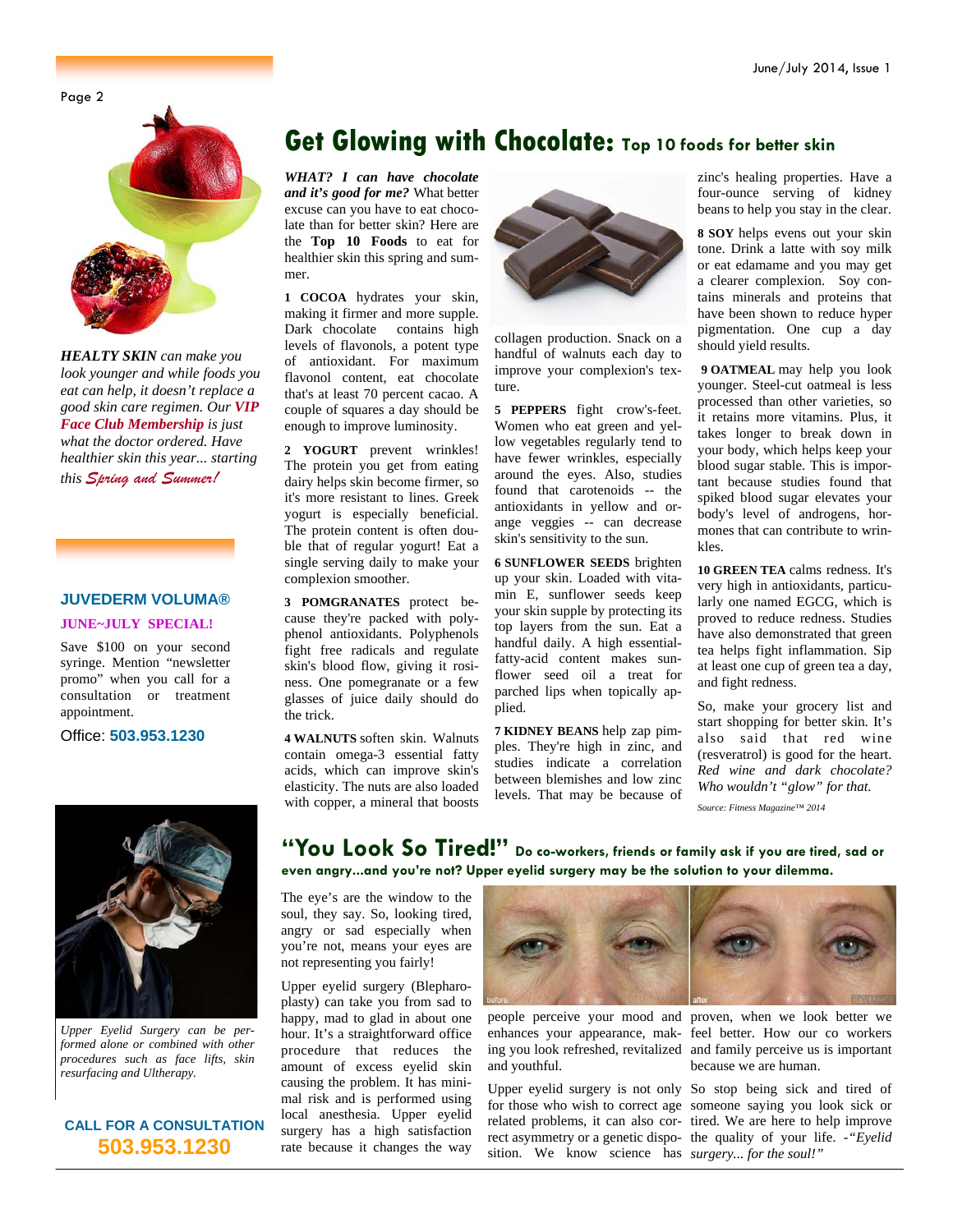Page 2



*HEALTY SKIN can make you look younger and while foods you eat can help, it doesn't replace a good skin care regimen. Our VIP Face Club Membership is just what the doctor ordered. Have healthier skin this year... starting this Spring and Summer!*

### **JUVEDERM VOLUMA®**

### **JUNE~JULY SPECIAL!**

Save \$100 on your second syringe. Mention "newsletter promo" when you call for a consultation or treatment appointment.

Office: **503.953.1230**

## **Get Glowing with Chocolate: Top 10 foods for better skin**

*WHAT? I can have chocolate and it's good for me?* What better excuse can you have to eat chocolate than for better skin? Here are the **Top 10 Foods** to eat for healthier skin this spring and summer.

**1 COCOA** hydrates your skin, making it firmer and more supple. Dark chocolate contains high levels of flavonols, a potent type of antioxidant. For maximum flavonol content, eat chocolate that's at least 70 percent cacao. A couple of squares a day should be enough to improve luminosity.

**2 YOGURT** prevent wrinkles! The protein you get from eating dairy helps skin become firmer, so it's more resistant to lines. Greek yogurt is especially beneficial. The protein content is often double that of regular yogurt! Eat a single serving daily to make your complexion smoother.

**3 POMGRANATES** protect because they're packed with polyphenol antioxidants. Polyphenols fight free radicals and regulate skin's blood flow, giving it rosiness. One pomegranate or a few glasses of juice daily should do the trick.

**4 WALNUTS** soften skin. Walnuts contain omega-3 essential fatty acids, which can improve skin's elasticity. The nuts are also loaded with copper, a mineral that boosts



collagen production. Snack on a handful of walnuts each day to improve your complexion's texture.

**5 PEPPERS** fight crow's-feet. Women who eat green and yellow vegetables regularly tend to have fewer wrinkles, especially around the eyes. Also, studies found that carotenoids -- the antioxidants in yellow and orange veggies -- can decrease skin's sensitivity to the sun.

**6 SUNFLOWER SEEDS** brighten up your skin. Loaded with vitamin E, sunflower seeds keep your skin supple by protecting its top layers from the sun. Eat a handful daily. A high essentialfatty-acid content makes sunflower seed oil a treat for parched lips when topically applied.

**7 KIDNEY BEANS** help zap pimples. They're high in zinc, and studies indicate a correlation between blemishes and low zinc levels. That may be because of zinc's healing properties. Have a four-ounce serving of kidney beans to help you stay in the clear.

**8 SOY** helps evens out your skin tone. Drink a latte with soy milk or eat edamame and you may get a clearer complexion. Soy contains minerals and proteins that have been shown to reduce hyper pigmentation. One cup a day should yield results.

**9 OATMEAL** may help you look younger. Steel-cut oatmeal is less processed than other varieties, so it retains more vitamins. Plus, it takes longer to break down in your body, which helps keep your blood sugar stable. This is important because studies found that spiked blood sugar elevates your body's level of androgens, hormones that can contribute to wrinkles.

**10 GREEN TEA** calms redness. It's very high in antioxidants, particularly one named EGCG, which is proved to reduce redness. Studies have also demonstrated that green tea helps fight inflammation. Sip at least one cup of green tea a day, and fight redness.

So, make your grocery list and start shopping for better skin. It's also said that red wine (resveratrol) is good for the heart. *Red wine and dark chocolate? Who wouldn't "glow" for that.*

*Source: Fitness Magazine™ 2014* 



*Upper Eyelid Surgery can be performed alone or combined with other procedures such as face lifts, skin resurfacing and Ultherapy.* 

### **CALL FOR A CONSULTATION 503.953.1230**

**"You Look So Tired!" Do co-workers, friends or family ask if you are tired, sad or even angry...and you're not? Upper eyelid surgery may be the solution to your dilemma.** 

The eye's are the window to the soul, they say. So, looking tired, angry or sad especially when you're not, means your eyes are not representing you fairly!

Upper eyelid surgery (Blepharoplasty) can take you from sad to happy, mad to glad in about one hour. It's a straightforward office procedure that reduces the amount of excess eyelid skin causing the problem. It has minimal risk and is performed using local anesthesia. Upper eyelid surgery has a high satisfaction rate because it changes the way



and youthful.

sition. We know science has *surgery... for the soul!"* 



people perceive your mood and proven, when we look better we enhances your appearance, mak-feel better. How our co workers ing you look refreshed, revitalized and family perceive us is important because we are human.

Upper eyelid surgery is not only So stop being sick and tired of for those who wish to correct age someone saying you look sick or related problems, it can also cor-tired. We are here to help improve rect asymmetry or a genetic dispo-the quality of your life. *-"Eyelid*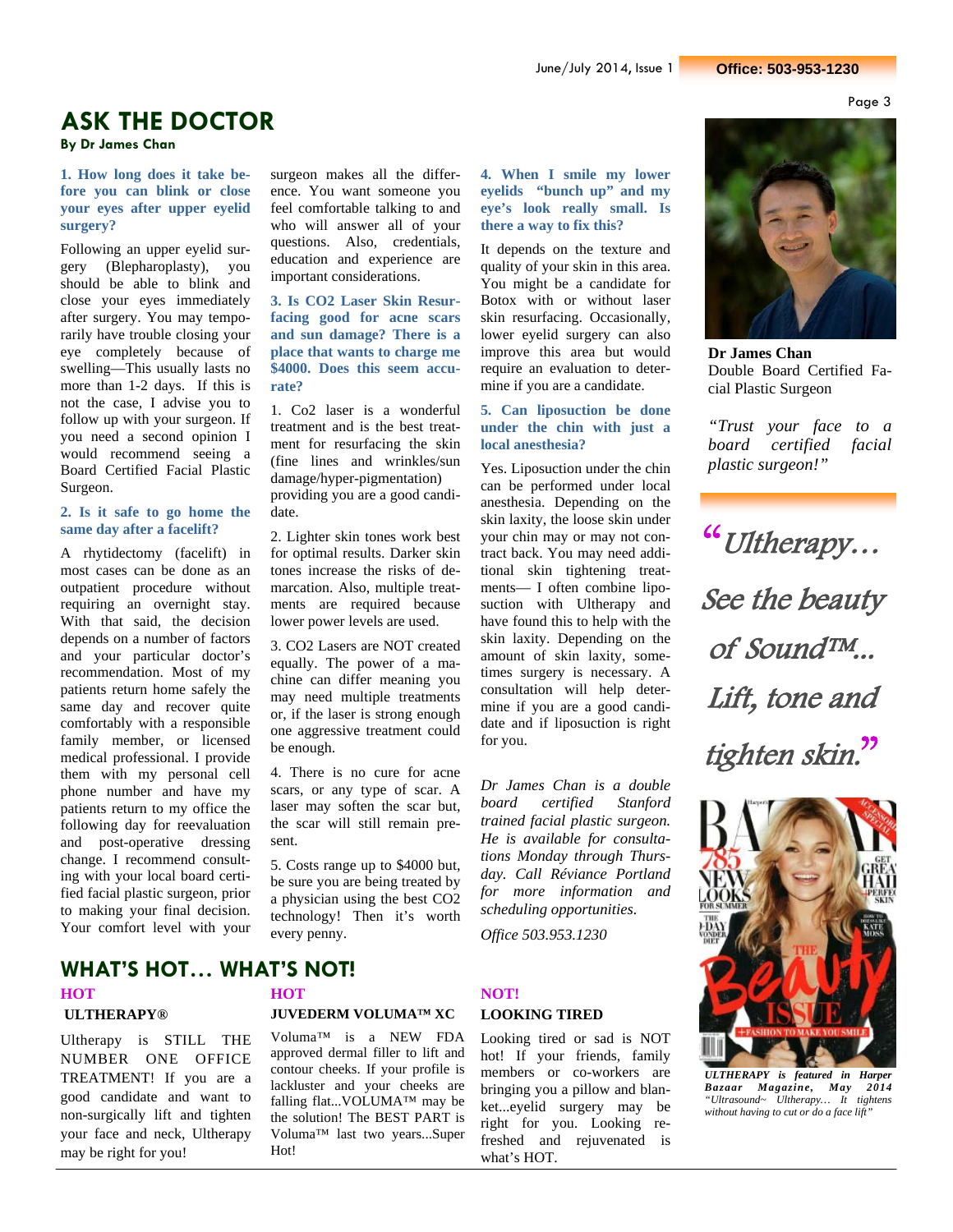Page 3

## **ASK THE DOCTOR**

**By Dr James Chan** 

**1. How long does it take before you can blink or close your eyes after upper eyelid surgery?** 

Following an upper eyelid surgery (Blepharoplasty), you should be able to blink and close your eyes immediately after surgery. You may temporarily have trouble closing your eye completely because of swelling—This usually lasts no more than 1-2 days. If this is not the case, I advise you to follow up with your surgeon. If you need a second opinion I would recommend seeing a Board Certified Facial Plastic Surgeon.

#### **2. Is it safe to go home the same day after a facelift?**

A rhytidectomy (facelift) in most cases can be done as an outpatient procedure without requiring an overnight stay. With that said, the decision depends on a number of factors and your particular doctor's recommendation. Most of my patients return home safely the same day and recover quite comfortably with a responsible family member, or licensed medical professional. I provide them with my personal cell phone number and have my patients return to my office the following day for reevaluation and post-operative dressing change. I recommend consulting with your local board certified facial plastic surgeon, prior to making your final decision. Your comfort level with your surgeon makes all the difference. You want someone you feel comfortable talking to and who will answer all of your questions. Also, credentials, education and experience are important considerations.

**3. Is CO2 Laser Skin Resurfacing good for acne scars and sun damage? There is a place that wants to charge me \$4000. Does this seem accurate?** 

1. Co2 laser is a wonderful treatment and is the best treatment for resurfacing the skin (fine lines and wrinkles/sun damage/hyper-pigmentation) providing you are a good candidate.

2. Lighter skin tones work best for optimal results. Darker skin tones increase the risks of demarcation. Also, multiple treatments are required because lower power levels are used.

3. CO2 Lasers are NOT created equally. The power of a machine can differ meaning you may need multiple treatments or, if the laser is strong enough one aggressive treatment could be enough.

4. There is no cure for acne scars, or any type of scar. A laser may soften the scar but, the scar will still remain present.

5. Costs range up to \$4000 but, be sure you are being treated by a physician using the best CO2 technology! Then it's worth every penny.

**4. When I smile my lower eyelids "bunch up" and my eye's look really small. Is there a way to fix this?** 

It depends on the texture and quality of your skin in this area. You might be a candidate for Botox with or without laser skin resurfacing. Occasionally, lower eyelid surgery can also improve this area but would require an evaluation to determine if you are a candidate.

#### **5. Can liposuction be done under the chin with just a local anesthesia?**

Yes. Liposuction under the chin can be performed under local anesthesia. Depending on the skin laxity, the loose skin under your chin may or may not contract back. You may need additional skin tightening treatments— I often combine liposuction with Ultherapy and have found this to help with the skin laxity. Depending on the amount of skin laxity, sometimes surgery is necessary. A consultation will help determine if you are a good candidate and if liposuction is right for you.

*Dr James Chan is a double board certified Stanford trained facial plastic surgeon. He is available for consultations Monday through Thursday. Call Réviance Portland for more information and scheduling opportunities.* 

*Office 503.953.1230* 

# **LOOKING TIRED**

Looking tired or sad is NOT hot! If your friends, family members or co-workers are bringing you a pillow and blanket...eyelid surgery may be right for you. Looking refreshed and rejuvenated is what's HOT.



**Dr James Chan**  Double Board Certified Facial Plastic Surgeon

*"Trust your face to a board certified facial plastic surgeon!"* 

"Ultherapy… See the beauty of Sound™... Lift, tone and tighten skin."



*ULTHERAPY is featured in Harper Bazaar Magazine, May 2014 "Ultrasound~ Ultherapy… It tightens without having to cut or do a face lift"*

## **WHAT'S HOT… WHAT'S NOT!**

# **ULTHERAPY®**

Ultherapy is STILL THE NUMBER ONE OFFICE TREATMENT! If you are a good candidate and want to non-surgically lift and tighten your face and neck, Ultherapy may be right for you!

# **HOT NOT!**

### **JUVEDERM VOLUMA™ XC**

Voluma™ is a NEW FDA approved dermal filler to lift and contour cheeks. If your profile is lackluster and your cheeks are falling flat...VOLUMA™ may be the solution! The BEST PART is Voluma™ last two years...Super Hot!